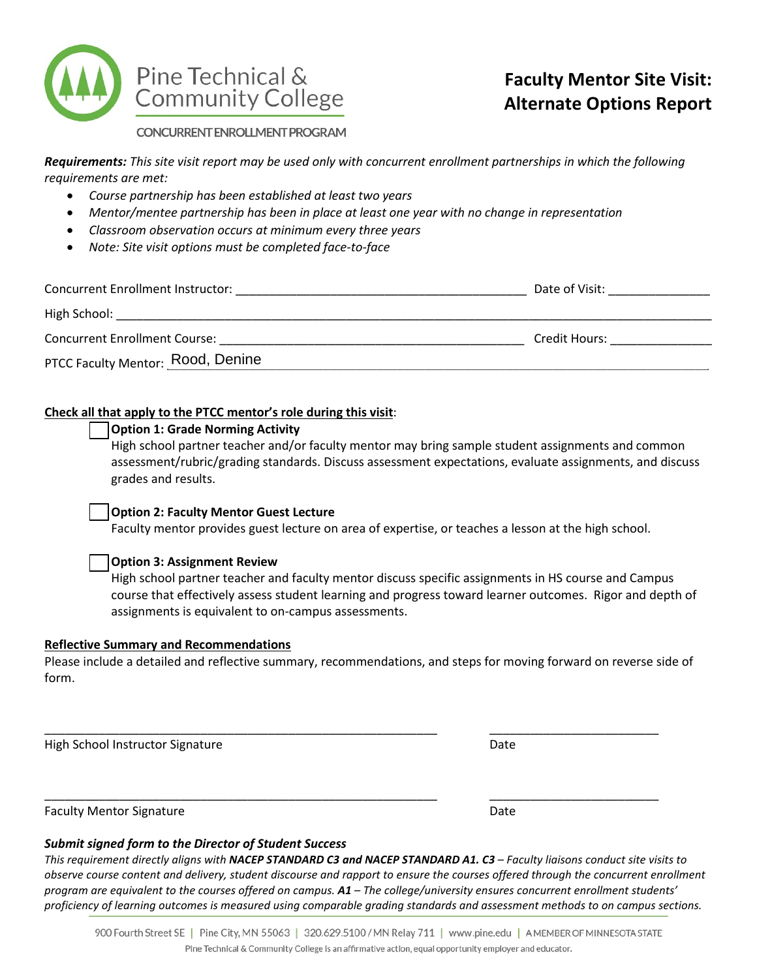

CONCURRENT ENROLLMENT PROGRAM

*Requirements: This site visit report may be used only with concurrent enrollment partnerships in which the following requirements are met:* 

- *Course partnership has been established at least two years*
- *Mentor/mentee partnership has been in place at least one year with no change in representation*
- *Classroom observation occurs at minimum every three years*
- *Note: Site visit options must be completed face-to-face*

| <b>Concurrent Enrollment Instructor:</b> | Date of Visit: |
|------------------------------------------|----------------|
| High School:                             |                |
| <b>Concurrent Enrollment Course:</b>     | Credit Hours:  |
| PTCC Faculty Mentor: Rood, Denine        |                |

# **Check all that apply to the PTCC mentor's role during this visit**:

## **Option 1: Grade Norming Activity**

High school partner teacher and/or faculty mentor may bring sample student assignments and common assessment/rubric/grading standards. Discuss assessment expectations, evaluate assignments, and discuss grades and results.

# **Option 2: Faculty Mentor Guest Lecture**

Faculty mentor provides guest lecture on area of expertise, or teaches a lesson at the high school.

# **Option 3: Assignment Review**

High school partner teacher and faculty mentor discuss specific assignments in HS course and Campus course that effectively assess student learning and progress toward learner outcomes. Rigor and depth of assignments is equivalent to on-campus assessments.

# **Reflective Summary and Recommendations**

Please include a detailed and reflective summary, recommendations, and steps for moving forward on reverse side of form.

\_\_\_\_\_\_\_\_\_\_\_\_\_\_\_\_\_\_\_\_\_\_\_\_\_\_\_\_\_\_\_\_\_\_\_\_\_\_\_\_\_\_\_\_\_\_\_\_\_\_\_\_\_\_\_\_\_\_ \_\_\_\_\_\_\_\_\_\_\_\_\_\_\_\_\_\_\_\_\_\_\_\_\_

\_\_\_\_\_\_\_\_\_\_\_\_\_\_\_\_\_\_\_\_\_\_\_\_\_\_\_\_\_\_\_\_\_\_\_\_\_\_\_\_\_\_\_\_\_\_\_\_\_\_\_\_\_\_\_\_\_\_ \_\_\_\_\_\_\_\_\_\_\_\_\_\_\_\_\_\_\_\_\_\_\_\_\_

High School Instructor Signature **Date of School School Instructor Signature** Date

Faculty Mentor Signature **Date Date** Date of **Date** Date **Date** 

# *Submit signed form to the Director of Student Success*

*This requirement directly aligns with NACEP STANDARD C3 and NACEP STANDARD A1. C3 – Faculty liaisons conduct site visits to observe course content and delivery, student discourse and rapport to ensure the courses offered through the concurrent enrollment program are equivalent to the courses offered on campus. A1 – The college/university ensures concurrent enrollment students' proficiency of learning outcomes is measured using comparable grading standards and assessment methods to on campus sections.*